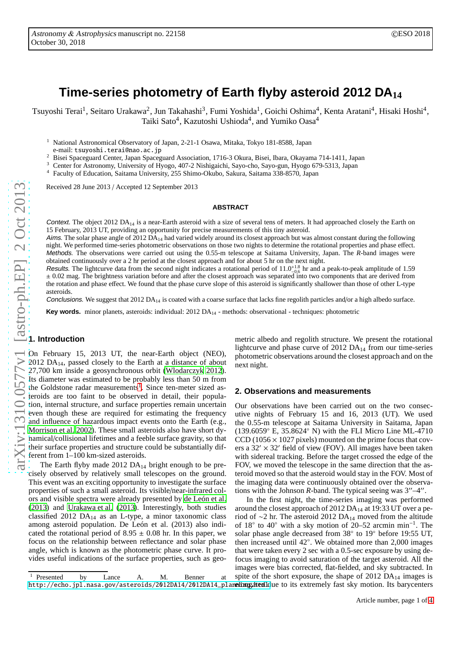# **Time-series photometry of Earth flyby asteroid 2012 DA<sup>14</sup>**

Tsuyoshi Terai<sup>1</sup>, Seitaro Urakawa<sup>2</sup>, Jun Takahashi<sup>3</sup>, Fumi Yoshida<sup>1</sup>, Goichi Oshima<sup>4</sup>, Kenta Aratani<sup>4</sup>, Hisaki Hoshi<sup>4</sup>, Taiki Sato 4 , Kazutoshi Ushioda 4 , and Yumiko Oasa 4

<sup>1</sup> National Astronomical Observatory of Japan, 2-21-1 Osawa, Mitaka, Tokyo 181-8588, Japan

e-mail: tsuyoshi.terai@nao.ac.jp

<sup>2</sup> Bisei Spaceguard Center, Japan Spaceguard Association, 1716-3 Okura, Bisei, Ibara, Okayama 714-1411, Japan

<sup>3</sup> Center for Astronomy, University of Hyogo, 407-2 Nishigaichi, Sayo-cho, Sayo-gun, Hyogo 679-5313, Japan

<sup>4</sup> Faculty of Education, Saitama University, 255 Shimo-Okubo, Sakura, Saitama 338-8570, Japan

Received 28 June 2013 / Accepted 12 September 2013

#### **ABSTRACT**

Context. The object 2012 DA<sub>14</sub> is a near-Earth asteroid with a size of several tens of meters. It had approached closely the Earth on 15 February, 2013 UT, providing an opportunity for precise measurements of this tiny asteroid.

Aims. The solar phase angle of 2012 DA<sub>14</sub> had varied widely around its closest approach but was almost constant during the following night. We performed time-series photometric observations on those two nights to determine the rotational properties and phase e ffect. Methods. The observations were carried out using the 0.55-m telescope at Saitama University, Japan. The *R*-band images were obtained continuously over a 2 hr period at the closest approach and for about 5 hr on the next night.

Results. The lightcurve data from the second night indicates a rotational period of  $11.0^{+1.8}_{-0.6}$  hr and a peak-to-peak amplitude of 1.59 ± 0.02 mag. The brightness variation before and after the closest approach was separated into two components that are derived from the rotation and phase e the rotation and phase effect. We found that the phase curve slope of this asteroid is significantly shallower than those of other L-type asteroids.

Conclusions. We suggest that  $2012 DA_{14}$  is coated with a coarse surface that lacks fine regolith particles and/or a high albedo surface.

Key words. minor planets, asteroids: individual: 2012 DA<sub>14</sub> - methods: observational - techniques: photometric

## **1. Introduction**

On February 15, 2013 UT, the near-Earth object (NEO), 2012 DA14, passed closely to the Earth at a distance of about 27,700 km inside a geosynchronous orbit [\(Wlodarczyk 2012](#page-3-0)). Its diameter was estimated to be probably less than 50 m from the Goldstone radar measurements<sup>[1](#page-0-0)</sup>. Since ten-meter sized asteroids are too faint to be observed in detail, their population, internal structure, and surface properties remain uncertain even though these are required for estimating the frequency and influence of hazardous impact events onto the Earth (e.g. , [Morrison et al. 2002\)](#page-3-1). These small asteroids also have short dynamical/collisional lifetimes and a feeble surface gravity, so that their surface properties and structure could be substantially different from 1–100 km-sized asteroids.

The Earth flyby made  $2012 \text{ DA}_{14}$  bright enough to be precisely observed by relatively small telescopes on the ground. This event was an exciting opportunity to investigate the surface properties of such a small asteroid. Its visible/near-infrared colors and visible spectra were already presented by [de León et al.](#page-3-2) [\(2013](#page-3-2)) and [Urakawa et al.](#page-3-3) [\(2013\)](#page-3-3). Interestingly, both studies classified 2012  $DA_{14}$  as an L-type, a minor taxonomic class among asteroid population. De León et al. (2013) also indicated the rotational period of  $8.95 \pm 0.08$  hr. In this paper, we focus on the relationship between reflectance and solar phas e angle, which is known as the photometric phase curve. It provides useful indications of the surface properties, such as geo-

metric albedo and regolith structure. We present the rotational lightcurve and phase curve of 2012  $DA_{14}$  from our time-series photometric observations around the closest approach and on the next night.

#### **2. Observations and measurements**

Our observations have been carried out on the two consecutive nights of February 15 and 16, 2013 (UT). We used the 0.55-m telescope at Saitama University in Saitama, Japa n  $(139.6059^{\circ} \text{ E}, 35.8624^{\circ} \text{ N})$  with the FLI Micro Line ML-4710 CCD ( $1056 \times 1027$  pixels) mounted on the prime focus that covers a  $32' \times 32'$  field of view (FOV). All images have been taken with sidereal tracking. Before the target crossed the edge of the FOV, we moved the telescope in the same direction that the asteroid moved so that the asteroid would stay in the FOV. Most of the imaging data were continuously obtained over the observations with the Johnson *R*-band. The typical seeing was 3′′–4′′.

In the first night, the time-series imaging was performed around the closest approach of 2012 DA<sup>14</sup> at 19:33 UT over a period of ∼2 hr. The asteroid 2012 DA<sub>14</sub> moved from the altitude of  $18^{\circ}$  to  $40^{\circ}$  with a sky motion of 20–52 arcmin min<sup>-1</sup>. The solar phase angle decreased from 38° to 19° before 19:55 UT, then increased until 42 ◦ . We obtained more than 2,000 images that were taken every 2 sec with a 0.5-sec exposure by using de focus imaging to avoid saturation of the target asteroid. All the images were bias corrected, flat-fielded, and sky subtracted. In spite of the short exposure, the shape of 2012  $DA_{14}$  images is

<span id="page-0-0"></span><sup>1</sup> Presented by Lance A. M. Benner at http://echo.jpl.nasa.gov/asteroids/2012DA14/2012DA14\_plan**nlinng.itenl**ldue to its extremely fast sky motion. Its barycenters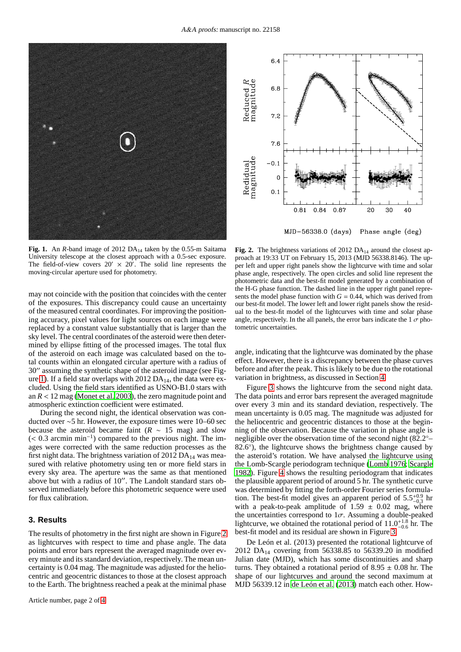

Fig. 1. An *R*-band image of 2012 DA<sub>14</sub> taken by the 0.55-m Saitama University telescope at the closest approach with a 0.5-sec exposure. The field-of-view covers  $20' \times 20'$ . The solid line represents the moving-circular aperture used for photometry.

<span id="page-1-0"></span>may not coincide with the position that coincides with the center of the exposures. This discrepancy could cause an uncertainty of the measured central coordinates. For improving the positioning accuracy, pixel values for light sources on each image were replaced by a constant value substantially that is larger than the sky level. The central coordinates of the asteroid were then determined by ellipse fitting of the processed images. The total flux of the asteroid on each image was calculated based on the total counts within an elongated circular aperture with a radius of 30′′ assuming the synthetic shape of the asteroid image (see Fig-ure [1\)](#page-1-0). If a field star overlaps with  $2012 \text{ DA}_{14}$ , the data were excluded. Using the field stars identified as USNO-B1.0 stars with an  $R < 12$  mag [\(Monet et al. 2003\)](#page-3-4), the zero magnitude point and atmospheric extinction coefficient were estimated.

During the second night, the identical observation was conducted over ∼5 hr. However, the exposure times were 10–60 sec because the asteroid became faint ( $R \sim 15$  mag) and slow (< 0.3 arcmin min−<sup>1</sup> ) compared to the previous night. The images were corrected with the same reduction processes as the first night data. The brightness variation of  $2012 \text{ DA}_{14}$  was measured with relative photometry using ten or more field stars in every sky area. The aperture was the same as that mentioned above but with a radius of 10′′. The Landolt standard stars observed immediately before this photometric sequence were used for flux calibration.

# **3. Results**

The results of photometry in the first night are shown in Figure [2](#page-1-1) as lightcurves with respect to time and phase angle. The data points and error bars represent the averaged magnitude over every minute and its standard deviation, respectively. The mean uncertainty is 0.04 mag. The magnitude was adjusted for the heliocentric and geocentric distances to those at the closest approach to the Earth. The brightness reached a peak at the minimal phase



MJD-56338.0 (days) Phase angle (deg)

<span id="page-1-1"></span>Fig. 2. The brightness variations of 2012 DA<sub>14</sub> around the closest approach at 19:33 UT on February 15, 2013 (MJD 56338.8146). The upper left and upper right panels show the lightcurve with time and solar phase angle, respectively. The open circles and solid line represent the photometric data and the best-fit model generated by a combination of the H-G phase function. The dashed line in the upper right panel represents the model phase function with  $G = 0.44$ , which was derived from our best-fit model. The lower left and lower right panels show the residual to the best-fit model of the lightcurves with time and solar phase angle, respectively. In the all panels, the error bars indicate the  $1 \sigma$  photometric uncertainties.

angle, indicating that the lightcurve was dominated by the phase effect. However, there is a discrepancy between the phase curves before and after the peak. This is likely to be due to the rotational variation in brightness, as discussed in Section [4.](#page-2-0)

Figure [3](#page-2-1) shows the lightcurve from the second night data. The data points and error bars represent the averaged magnitude over every 3 min and its standard deviation, respectively. The mean uncertainty is 0.05 mag. The magnitude was adjusted for the heliocentric and geocentric distances to those at the beginning of the observation. Because the variation in phase angle is negligible over the observation time of the second night (82.2<sup>°</sup>− 82.6<sup>°</sup>), the lightcurve shows the brightness change caused by the asteroid's rotation. We have analysed the lightcurve using the Lomb-Scargle periodogram technique [\(Lomb 1976](#page-3-5); [Scargle](#page-3-6) [1982\)](#page-3-6). Figure [4](#page-2-2) shows the resulting periodogram that indicates the plausible apparent period of around 5 hr. The synthetic curve was determined by fitting the forth-order Fourier series formulation. The best-fit model gives an apparent period of  $5.5^{+0.9}_{-0.3}$  hr with a peak-to-peak amplitude of  $1.59 \pm 0.02$  mag, where the uncertainties correspond to  $1\sigma$ . Assuming a double-peaked lightcurve, we obtained the rotational period of  $11.0^{+1.8}_{-0.6}$  hr. The best-fit model and its residual are shown in Figure [3.](#page-2-1)

De León et al. (2013) presented the rotational lightcurve of 2012 DA<sub>14</sub> covering from 56338.85 to 56339.20 in modified Julian date (MJD), which has some discontinuities and sharp turns. They obtained a rotational period of  $8.95 \pm 0.08$  hr. The shape of our lightcurves and around the second maximum at MJD 56339.12 in [de León et al.](#page-3-2) [\(2013\)](#page-3-2) match each other. How-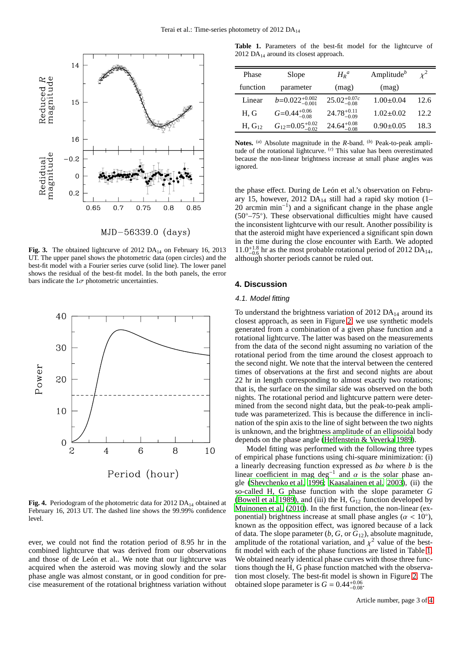

MJD-56339.0 (days)

<span id="page-2-1"></span>Fig. 3. The obtained lightcurve of 2012 DA<sub>14</sub> on February 16, 2013 UT. The upper panel shows the photometric data (open circles) and the best-fit model with a Fourier series curve (solid line). The lower panel shows the residual of the best-fit model. In the both panels, the error bars indicate the  $1\sigma$  photometric uncertainties.



<span id="page-2-2"></span>Fig. 4. Periodogram of the photometric data for 2012 DA<sub>14</sub> obtained at February 16, 2013 UT. The dashed line shows the 99.99% confidence level.

ever, we could not find the rotation period of 8.95 hr in the combined lightcurve that was derived from our observations and those of de León et al.. We note that our lightcurve was acquired when the asteroid was moving slowly and the solar phase angle was almost constant, or in good condition for precise measurement of the rotational brightness variation without

<span id="page-2-3"></span>**Table 1.** Parameters of the best-fit model for the lightcurve of 2012 DA $_{14}$  around its closest approach.

| Phase       | Slope                         | $H_R^a$                  | Amplitude $^b$  | $\chi^2$ |
|-------------|-------------------------------|--------------------------|-----------------|----------|
| function    | parameter                     | (mag)                    | (mag)           |          |
| Linear      | $b=0.022^{+0.002}_{-0.001}$   | $25.02^{+0.07c}_{-0.08}$ | $1.00 \pm 0.04$ | 12.6     |
| H, G        | $G=0.44^{+0.06}_{-0.08}$      | $24.78_{-0.09}^{+0.11}$  | $1.02 \pm 0.02$ | 12.2     |
| $H, G_{12}$ | $G_{12}=0.05_{-0.02}^{+0.02}$ | $24.64_{-0.08}^{+0.08}$  | $0.90 \pm 0.05$ | 18.3     |

**Notes.** (*a*) Absolute magnitude in the *R*-band. (*b*) Peak-to-peak amplitude of the rotational lightcurve. (*c*) This value has been overestimated because the non-linear brightness increase at small phase angles was ignored.

the phase effect. During de León et al.'s observation on February 15, however, 2012 DA<sub>14</sub> still had a rapid sky motion  $(1-$ 20 arcmin min<sup>-1</sup>) and a significant change in the phase angle (50◦–75◦ ). These observational difficulties might have caused the inconsistent lightcurve with our result. Another possibility is that the asteroid might have experienced a significant spin down in the time during the close encounter with Earth. We adopted  $11.0^{+1.8}_{-0.6}$  hr as the most probable rotational period of 2012 DA<sub>14</sub>, although shorter periods cannot be ruled out.

# <span id="page-2-0"></span>**4. Discussion**

### 4.1. Model fitting

To understand the brightness variation of  $2012 \text{ DA}_{14}$  around its closest approach, as seen in Figure [2,](#page-1-1) we use synthetic models generated from a combination of a given phase function and a rotational lightcurve. The latter was based on the measurements from the data of the second night assuming no variation of the rotational period from the time around the closest approach to the second night. We note that the interval between the centered times of observations at the first and second nights are about 22 hr in length corresponding to almost exactly two rotations; that is, the surface on the similar side was observed on the both nights. The rotational period and lightcurve pattern were determined from the second night data, but the peak-to-peak amplitude was parameterized. This is because the difference in inclination of the spin axis to the line of sight between the two nights is unknown, and the brightness amplitude of an ellipsoidal body depends on the phase angle [\(Helfenstein & Veverka 1989\)](#page-3-7).

Model fitting was performed with the following three types of empirical phase functions using chi-square minimization: (i) a linearly decreasing function expressed as *b*α where *b* is the linear coefficient in mag deg<sup>-1</sup> and  $\alpha$  is the solar phase angle [\(Shevchenko et al. 1996;](#page-3-8) [Kaasalainen et al. 2003\)](#page-3-9), (ii) the so-called H, G phase function with the slope parameter *G* [\(Bowell et al. 1989\)](#page-3-10), and (iii) the H,  $G_{12}$  function developed by [Muinonen et al. \(2010\)](#page-3-11). In the first function, the non-linear (exponential) brightness increase at small phase angles ( $\alpha < 10^{\circ}$ ), known as the opposition effect, was ignored because of a lack of data. The slope parameter (*b*, *G*, or *G*12), absolute magnitude, amplitude of the rotational variation, and  $\chi^2$  value of the bestfit model with each of the phase functions are listed in Table [1.](#page-2-3) We obtained nearly identical phase curves with those three functions though the H, G phase function matched with the observation most closely. The best-fit model is shown in Figure [2.](#page-1-1) The obtained slope parameter is  $G = 0.44^{+0.06}_{-0.08}$ .